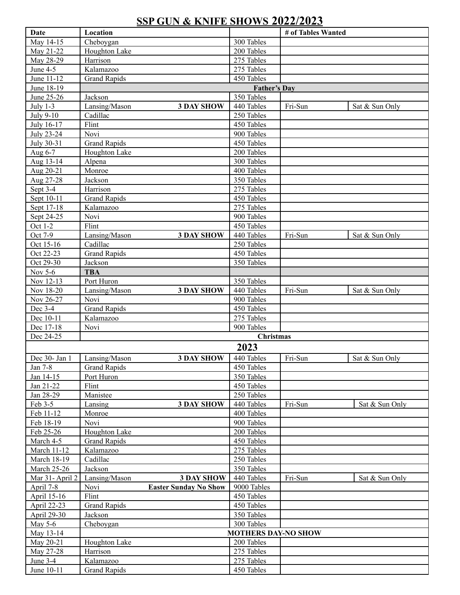## **SSP GUN & KNIFE SHOWS 2022/2023**

| Date                  | Location                             |                            | # of Tables Wanted |                |
|-----------------------|--------------------------------------|----------------------------|--------------------|----------------|
| May 14-15             | Cheboygan                            | 300 Tables                 |                    |                |
| May 21-22             | Houghton Lake                        | 200 Tables                 |                    |                |
| May 28-29             | Harrison                             | 275 Tables                 |                    |                |
| June 4-5              | Kalamazoo                            | 275 Tables                 |                    |                |
| June 11-12            | <b>Grand Rapids</b>                  | 450 Tables                 |                    |                |
| June 18-19            |                                      | <b>Father's Day</b>        |                    |                |
| June 25-26            | Jackson                              | 350 Tables                 |                    |                |
| July $1-3$            | Lansing/Mason<br><b>3 DAY SHOW</b>   | 440 Tables                 | Fri-Sun            | Sat & Sun Only |
| July 9-10             | Cadillac                             | 250 Tables                 |                    |                |
| July 16-17            | Flint                                | 450 Tables                 |                    |                |
| July 23-24            | Novi                                 | 900 Tables                 |                    |                |
| July 30-31            | <b>Grand Rapids</b>                  | 450 Tables                 |                    |                |
| Aug 6-7               | Houghton Lake                        | 200 Tables                 |                    |                |
| Aug 13-14             | Alpena<br>Monroe                     | 300 Tables                 |                    |                |
| Aug 20-21             | Jackson                              | 400 Tables<br>350 Tables   |                    |                |
| Aug 27-28<br>Sept 3-4 | Harrison                             | 275 Tables                 |                    |                |
| Sept 10-11            | <b>Grand Rapids</b>                  | 450 Tables                 |                    |                |
| Sept 17-18            | Kalamazoo                            | 275 Tables                 |                    |                |
| Sept 24-25            | Novi                                 | 900 Tables                 |                    |                |
| Oct 1-2               | Flint                                | 450 Tables                 |                    |                |
| Oct 7-9               | Lansing/Mason<br><b>3 DAY SHOW</b>   | 440 Tables                 | Fri-Sun            | Sat & Sun Only |
| Oct 15-16             | Cadillac                             | 250 Tables                 |                    |                |
| Oct 22-23             | <b>Grand Rapids</b>                  | 450 Tables                 |                    |                |
| Oct 29-30             | Jackson                              | 350 Tables                 |                    |                |
| Nov 5-6               | <b>TBA</b>                           |                            |                    |                |
| Nov 12-13             | Port Huron                           | 350 Tables                 |                    |                |
| Nov 18-20             | <b>3 DAY SHOW</b><br>Lansing/Mason   | 440 Tables                 | Fri-Sun            | Sat & Sun Only |
| Nov 26-27             | Novi                                 | 900 Tables                 |                    |                |
| Dec 3-4               | <b>Grand Rapids</b>                  | 450 Tables                 |                    |                |
| Dec 10-11             | Kalamazoo                            | 275 Tables                 |                    |                |
| Dec 17-18             | Novi                                 | 900 Tables                 |                    |                |
| Dec 24-25             |                                      | <b>Christmas</b>           |                    |                |
|                       |                                      | 2023                       |                    |                |
| Dec 30- Jan 1         | <b>3 DAY SHOW</b><br>Lansing/Mason   | 440 Tables                 | Fri-Sun            | Sat & Sun Only |
| Jan 7-8               | <b>Grand Rapids</b>                  | 450 Tables                 |                    |                |
| Jan 14-15             | Port Huron                           | 350 Tables                 |                    |                |
| Jan 21-22             | Flint                                | 450 Tables                 |                    |                |
| Jan 28-29             | Manistee                             | 250 Tables                 |                    |                |
| Feb 3-5               | <b>3 DAY SHOW</b><br>Lansing         | 440 Tables                 | Fri-Sun            | Sat & Sun Only |
| Feb 11-12             | Monroe                               | 400 Tables                 |                    |                |
| Feb 18-19             | Novi                                 | 900 Tables                 |                    |                |
| Feb 25-26             | Houghton Lake                        | 200 Tables                 |                    |                |
| March 4-5             | <b>Grand Rapids</b>                  | 450 Tables                 |                    |                |
| <b>March 11-12</b>    | Kalamazoo                            | 275 Tables                 |                    |                |
| <b>March 18-19</b>    | Cadillac                             | 250 Tables                 |                    |                |
| <b>March 25-26</b>    | Jackson                              | 350 Tables                 |                    |                |
| Mar 31-April 2        | Lansing/Mason<br><b>3 DAY SHOW</b>   | 440 Tables                 | Fri-Sun            | Sat & Sun Only |
| April 7-8             | <b>Easter Sunday No Show</b><br>Novi | 9000 Tables                |                    |                |
| April 15-16           | Flint                                | 450 Tables                 |                    |                |
| April 22-23           | <b>Grand Rapids</b>                  | 450 Tables                 |                    |                |
| April 29-30           | Jackson                              | 350 Tables                 |                    |                |
| May 5-6               | Cheboygan                            | 300 Tables                 |                    |                |
| May 13-14             |                                      | <b>MOTHERS DAY-NO SHOW</b> |                    |                |
| May 20-21             | Houghton Lake                        | 200 Tables                 |                    |                |
| May 27-28             | Harrison                             | 275 Tables                 |                    |                |
| June 3-4              | Kalamazoo                            | 275 Tables                 |                    |                |
| June 10-11            | <b>Grand Rapids</b>                  | 450 Tables                 |                    |                |